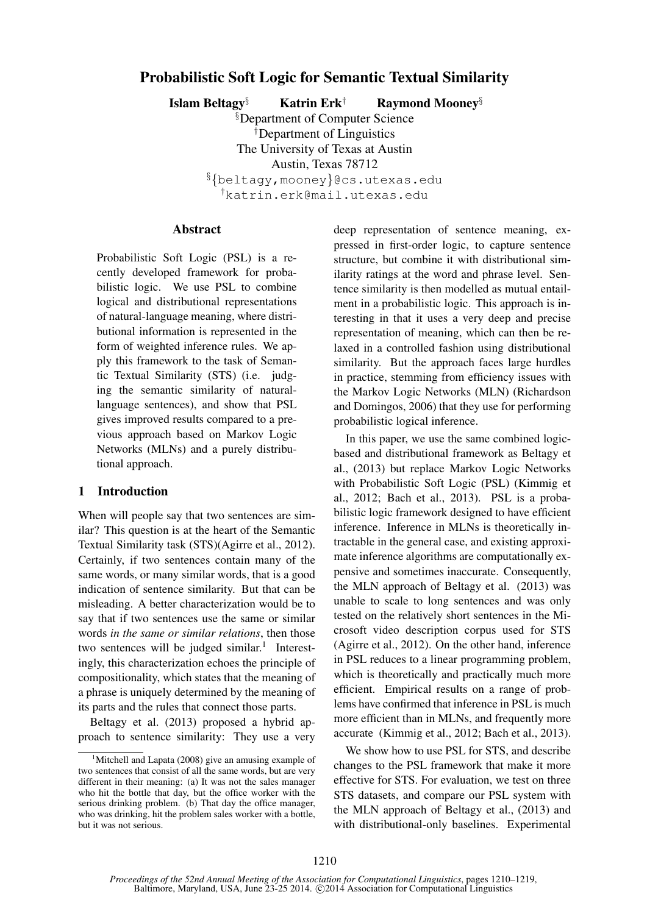# Probabilistic Soft Logic for Semantic Textual Similarity

Islam Beltagy<sup>§</sup> Katrin Erk<sup>†</sup> Raymond Mooney<sup>§</sup>

§Department of Computer Science †Department of Linguistics The University of Texas at Austin Austin, Texas 78712 §{beltagy,mooney}@cs.utexas.edu †katrin.erk@mail.utexas.edu

#### Abstract

Probabilistic Soft Logic (PSL) is a recently developed framework for probabilistic logic. We use PSL to combine logical and distributional representations of natural-language meaning, where distributional information is represented in the form of weighted inference rules. We apply this framework to the task of Semantic Textual Similarity (STS) (i.e. judging the semantic similarity of naturallanguage sentences), and show that PSL gives improved results compared to a previous approach based on Markov Logic Networks (MLNs) and a purely distributional approach.

### 1 Introduction

When will people say that two sentences are similar? This question is at the heart of the Semantic Textual Similarity task (STS)(Agirre et al., 2012). Certainly, if two sentences contain many of the same words, or many similar words, that is a good indication of sentence similarity. But that can be misleading. A better characterization would be to say that if two sentences use the same or similar words *in the same or similar relations*, then those two sentences will be judged similar.<sup>1</sup> Interestingly, this characterization echoes the principle of compositionality, which states that the meaning of a phrase is uniquely determined by the meaning of its parts and the rules that connect those parts.

Beltagy et al. (2013) proposed a hybrid approach to sentence similarity: They use a very deep representation of sentence meaning, expressed in first-order logic, to capture sentence structure, but combine it with distributional similarity ratings at the word and phrase level. Sentence similarity is then modelled as mutual entailment in a probabilistic logic. This approach is interesting in that it uses a very deep and precise representation of meaning, which can then be relaxed in a controlled fashion using distributional similarity. But the approach faces large hurdles in practice, stemming from efficiency issues with the Markov Logic Networks (MLN) (Richardson and Domingos, 2006) that they use for performing probabilistic logical inference.

In this paper, we use the same combined logicbased and distributional framework as Beltagy et al., (2013) but replace Markov Logic Networks with Probabilistic Soft Logic (PSL) (Kimmig et al., 2012; Bach et al., 2013). PSL is a probabilistic logic framework designed to have efficient inference. Inference in MLNs is theoretically intractable in the general case, and existing approximate inference algorithms are computationally expensive and sometimes inaccurate. Consequently, the MLN approach of Beltagy et al. (2013) was unable to scale to long sentences and was only tested on the relatively short sentences in the Microsoft video description corpus used for STS (Agirre et al., 2012). On the other hand, inference in PSL reduces to a linear programming problem, which is theoretically and practically much more efficient. Empirical results on a range of problems have confirmed that inference in PSL is much more efficient than in MLNs, and frequently more accurate (Kimmig et al., 2012; Bach et al., 2013).

We show how to use PSL for STS, and describe changes to the PSL framework that make it more effective for STS. For evaluation, we test on three STS datasets, and compare our PSL system with the MLN approach of Beltagy et al., (2013) and with distributional-only baselines. Experimental

<sup>&</sup>lt;sup>1</sup>Mitchell and Lapata (2008) give an amusing example of two sentences that consist of all the same words, but are very different in their meaning: (a) It was not the sales manager who hit the bottle that day, but the office worker with the serious drinking problem. (b) That day the office manager, who was drinking, hit the problem sales worker with a bottle, but it was not serious.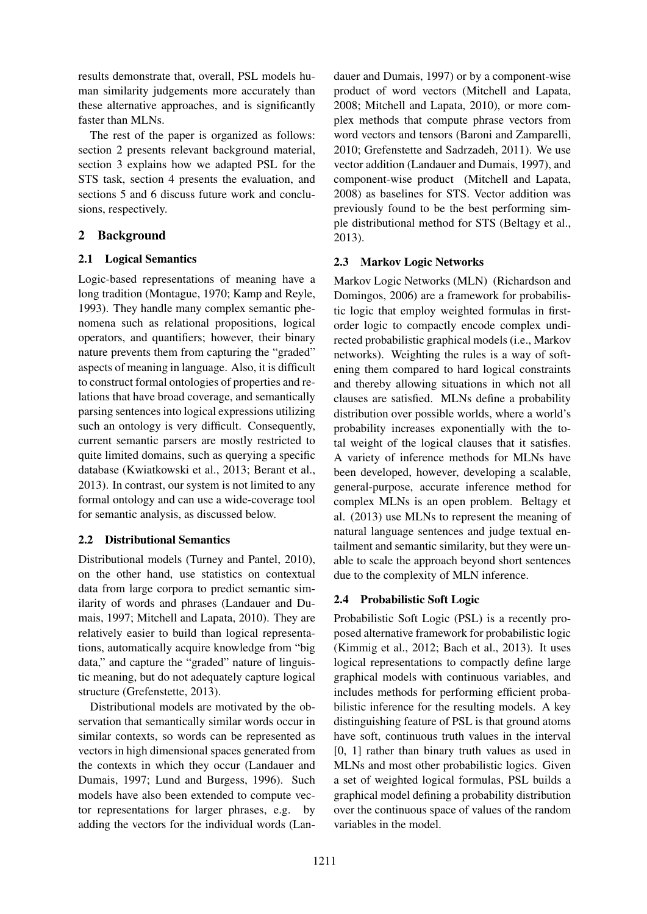results demonstrate that, overall, PSL models human similarity judgements more accurately than these alternative approaches, and is significantly faster than MLNs.

The rest of the paper is organized as follows: section 2 presents relevant background material, section 3 explains how we adapted PSL for the STS task, section 4 presents the evaluation, and sections 5 and 6 discuss future work and conclusions, respectively.

# 2 Background

### 2.1 Logical Semantics

Logic-based representations of meaning have a long tradition (Montague, 1970; Kamp and Reyle, 1993). They handle many complex semantic phenomena such as relational propositions, logical operators, and quantifiers; however, their binary nature prevents them from capturing the "graded" aspects of meaning in language. Also, it is difficult to construct formal ontologies of properties and relations that have broad coverage, and semantically parsing sentences into logical expressions utilizing such an ontology is very difficult. Consequently, current semantic parsers are mostly restricted to quite limited domains, such as querying a specific database (Kwiatkowski et al., 2013; Berant et al., 2013). In contrast, our system is not limited to any formal ontology and can use a wide-coverage tool for semantic analysis, as discussed below.

## 2.2 Distributional Semantics

Distributional models (Turney and Pantel, 2010), on the other hand, use statistics on contextual data from large corpora to predict semantic similarity of words and phrases (Landauer and Dumais, 1997; Mitchell and Lapata, 2010). They are relatively easier to build than logical representations, automatically acquire knowledge from "big data," and capture the "graded" nature of linguistic meaning, but do not adequately capture logical structure (Grefenstette, 2013).

Distributional models are motivated by the observation that semantically similar words occur in similar contexts, so words can be represented as vectors in high dimensional spaces generated from the contexts in which they occur (Landauer and Dumais, 1997; Lund and Burgess, 1996). Such models have also been extended to compute vector representations for larger phrases, e.g. by adding the vectors for the individual words (Lan-

dauer and Dumais, 1997) or by a component-wise product of word vectors (Mitchell and Lapata, 2008; Mitchell and Lapata, 2010), or more complex methods that compute phrase vectors from word vectors and tensors (Baroni and Zamparelli, 2010; Grefenstette and Sadrzadeh, 2011). We use vector addition (Landauer and Dumais, 1997), and component-wise product (Mitchell and Lapata, 2008) as baselines for STS. Vector addition was previously found to be the best performing simple distributional method for STS (Beltagy et al., 2013).

# 2.3 Markov Logic Networks

Markov Logic Networks (MLN) (Richardson and Domingos, 2006) are a framework for probabilistic logic that employ weighted formulas in firstorder logic to compactly encode complex undirected probabilistic graphical models (i.e., Markov networks). Weighting the rules is a way of softening them compared to hard logical constraints and thereby allowing situations in which not all clauses are satisfied. MLNs define a probability distribution over possible worlds, where a world's probability increases exponentially with the total weight of the logical clauses that it satisfies. A variety of inference methods for MLNs have been developed, however, developing a scalable, general-purpose, accurate inference method for complex MLNs is an open problem. Beltagy et al. (2013) use MLNs to represent the meaning of natural language sentences and judge textual entailment and semantic similarity, but they were unable to scale the approach beyond short sentences due to the complexity of MLN inference.

# 2.4 Probabilistic Soft Logic

Probabilistic Soft Logic (PSL) is a recently proposed alternative framework for probabilistic logic (Kimmig et al., 2012; Bach et al., 2013). It uses logical representations to compactly define large graphical models with continuous variables, and includes methods for performing efficient probabilistic inference for the resulting models. A key distinguishing feature of PSL is that ground atoms have soft, continuous truth values in the interval [0, 1] rather than binary truth values as used in MLNs and most other probabilistic logics. Given a set of weighted logical formulas, PSL builds a graphical model defining a probability distribution over the continuous space of values of the random variables in the model.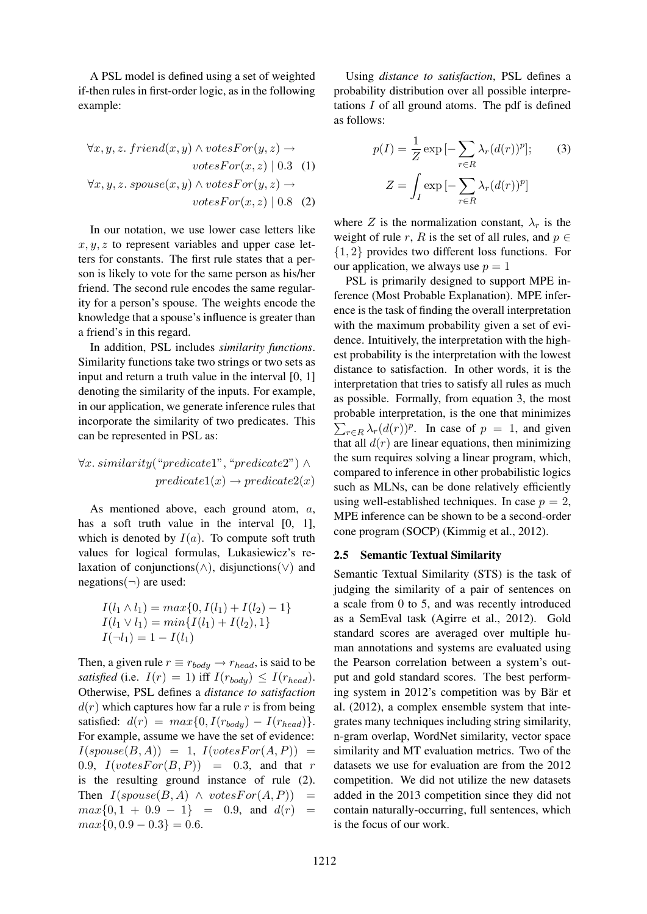A PSL model is defined using a set of weighted if-then rules in first-order logic, as in the following example:

$$
\forall x, y, z. \text{ friend}(x, y) \land \text{votesFor}(y, z) \rightarrow
$$

$$
\text{votesFor}(x, z) \mid 0.3 \quad (1)
$$

$$
\forall x, y, z. \text{spouse}(x, y) \land \text{votesFor}(y, z) \rightarrow
$$

$$
\text{votesFor}(x, z) \mid 0.8 \quad (2)
$$

In our notation, we use lower case letters like  $x, y, z$  to represent variables and upper case letters for constants. The first rule states that a person is likely to vote for the same person as his/her friend. The second rule encodes the same regularity for a person's spouse. The weights encode the knowledge that a spouse's influence is greater than a friend's in this regard.

In addition, PSL includes *similarity functions*. Similarity functions take two strings or two sets as input and return a truth value in the interval [0, 1] denoting the similarity of the inputs. For example, in our application, we generate inference rules that incorporate the similarity of two predicates. This can be represented in PSL as:

 $\forall x. \, similarity("predicate1", "predicate2") \land$  $predicate1(x) \rightarrow predicate2(x)$ 

As mentioned above, each ground atom, a, has a soft truth value in the interval [0, 1], which is denoted by  $I(a)$ . To compute soft truth values for logical formulas, Lukasiewicz's relaxation of conjunctions( $\land$ ), disjunctions( $\lor$ ) and  $negations(\neg)$  are used:

$$
I(l_1 \wedge l_1) = max\{0, I(l_1) + I(l_2) - 1\}
$$
  
\n
$$
I(l_1 \vee l_1) = min\{I(l_1) + I(l_2), 1\}
$$
  
\n
$$
I(\neg l_1) = 1 - I(l_1)
$$

Then, a given rule  $r \equiv r_{body} \rightarrow r_{head}$ , is said to be *satisfied* (i.e.  $I(r) = 1$ ) iff  $I(r_{body}) \leq I(r_{head})$ . Otherwise, PSL defines a *distance to satisfaction*  $d(r)$  which captures how far a rule r is from being satisfied:  $d(r) = max\{0, I(r_{body}) - I(r_{head})\}.$ For example, assume we have the set of evidence:  $I(spouse(B, A)) = 1, I(votesFor(A, P)) =$ 0.9,  $I(votesFor(B, P)) = 0.3$ , and that r is the resulting ground instance of rule (2). Then  $I(spouse(B, A) \wedge votesFor(A, P)) =$  $max{0, 1 + 0.9 - 1} = 0.9$ , and  $d(r) =$  $max\{0, 0.9 - 0.3\} = 0.6.$ 

Using *distance to satisfaction*, PSL defines a probability distribution over all possible interpretations  $I$  of all ground atoms. The pdf is defined as follows:

$$
p(I) = \frac{1}{Z} \exp\left[-\sum_{r \in R} \lambda_r (d(r))^p\right];\tag{3}
$$

$$
Z = \int_I \exp\left[-\sum_{r \in R} \lambda_r (d(r))^p\right]
$$

where Z is the normalization constant,  $\lambda_r$  is the weight of rule r, R is the set of all rules, and  $p \in$ {1, 2} provides two different loss functions. For our application, we always use  $p = 1$ 

PSL is primarily designed to support MPE inference (Most Probable Explanation). MPE inference is the task of finding the overall interpretation with the maximum probability given a set of evidence. Intuitively, the interpretation with the highest probability is the interpretation with the lowest distance to satisfaction. In other words, it is the interpretation that tries to satisfy all rules as much as possible. Formally, from equation 3, the most probable interpretation, is the one that minimizes  $\sum_{r \in R} \lambda_r(d(r))^p$ . In case of  $p = 1$ , and given that all  $d(r)$  are linear equations, then minimizing the sum requires solving a linear program, which, compared to inference in other probabilistic logics such as MLNs, can be done relatively efficiently using well-established techniques. In case  $p = 2$ , MPE inference can be shown to be a second-order cone program (SOCP) (Kimmig et al., 2012).

#### 2.5 Semantic Textual Similarity

Semantic Textual Similarity (STS) is the task of judging the similarity of a pair of sentences on a scale from 0 to 5, and was recently introduced as a SemEval task (Agirre et al., 2012). Gold standard scores are averaged over multiple human annotations and systems are evaluated using the Pearson correlation between a system's output and gold standard scores. The best performing system in 2012's competition was by Bär et al. (2012), a complex ensemble system that integrates many techniques including string similarity, n-gram overlap, WordNet similarity, vector space similarity and MT evaluation metrics. Two of the datasets we use for evaluation are from the 2012 competition. We did not utilize the new datasets added in the 2013 competition since they did not contain naturally-occurring, full sentences, which is the focus of our work.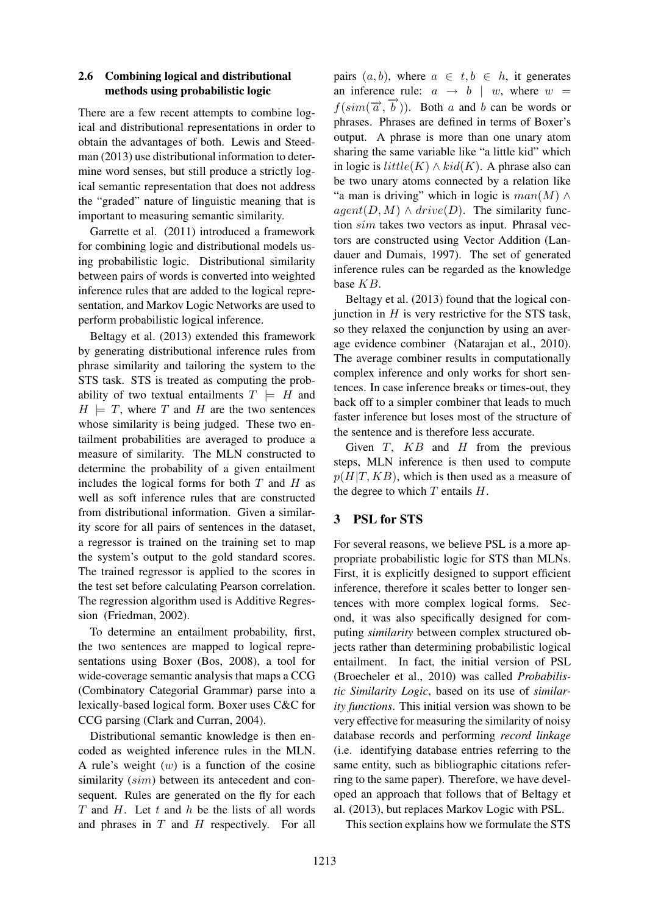### 2.6 Combining logical and distributional methods using probabilistic logic

There are a few recent attempts to combine logical and distributional representations in order to obtain the advantages of both. Lewis and Steedman (2013) use distributional information to determine word senses, but still produce a strictly logical semantic representation that does not address the "graded" nature of linguistic meaning that is important to measuring semantic similarity.

Garrette et al. (2011) introduced a framework for combining logic and distributional models using probabilistic logic. Distributional similarity between pairs of words is converted into weighted inference rules that are added to the logical representation, and Markov Logic Networks are used to perform probabilistic logical inference.

Beltagy et al. (2013) extended this framework by generating distributional inference rules from phrase similarity and tailoring the system to the STS task. STS is treated as computing the probability of two textual entailments  $T \models H$  and  $H \models T$ , where T and H are the two sentences whose similarity is being judged. These two entailment probabilities are averaged to produce a measure of similarity. The MLN constructed to determine the probability of a given entailment includes the logical forms for both  $T$  and  $H$  as well as soft inference rules that are constructed from distributional information. Given a similarity score for all pairs of sentences in the dataset, a regressor is trained on the training set to map the system's output to the gold standard scores. The trained regressor is applied to the scores in the test set before calculating Pearson correlation. The regression algorithm used is Additive Regression (Friedman, 2002).

To determine an entailment probability, first, the two sentences are mapped to logical representations using Boxer (Bos, 2008), a tool for wide-coverage semantic analysis that maps a CCG (Combinatory Categorial Grammar) parse into a lexically-based logical form. Boxer uses C&C for CCG parsing (Clark and Curran, 2004).

Distributional semantic knowledge is then encoded as weighted inference rules in the MLN. A rule's weight  $(w)$  is a function of the cosine similarity (sim) between its antecedent and consequent. Rules are generated on the fly for each  $T$  and  $H$ . Let  $t$  and  $h$  be the lists of all words and phrases in  $T$  and  $H$  respectively. For all pairs  $(a, b)$ , where  $a \in t, b \in h$ , it generates an inference rule:  $a \rightarrow b \mid w$ , where  $w =$  $f(\text{sim}(\vec{a}, \vec{b}))$ . Both a and b can be words or phrases. Phrases are defined in terms of Boxer's output. A phrase is more than one unary atom sharing the same variable like "a little kid" which in logic is  $little(K) \wedge kid(K)$ . A phrase also can be two unary atoms connected by a relation like "a man is driving" which in logic is  $man(M) \wedge$  $agent(D, M) \wedge drive(D)$ . The similarity function sim takes two vectors as input. Phrasal vectors are constructed using Vector Addition (Landauer and Dumais, 1997). The set of generated inference rules can be regarded as the knowledge base KB.

Beltagy et al. (2013) found that the logical conjunction in  $H$  is very restrictive for the STS task, so they relaxed the conjunction by using an average evidence combiner (Natarajan et al., 2010). The average combiner results in computationally complex inference and only works for short sentences. In case inference breaks or times-out, they back off to a simpler combiner that leads to much faster inference but loses most of the structure of the sentence and is therefore less accurate.

Given  $T$ ,  $KB$  and  $H$  from the previous steps, MLN inference is then used to compute  $p(H|T, KB)$ , which is then used as a measure of the degree to which  $T$  entails  $H$ .

### 3 PSL for STS

For several reasons, we believe PSL is a more appropriate probabilistic logic for STS than MLNs. First, it is explicitly designed to support efficient inference, therefore it scales better to longer sentences with more complex logical forms. Second, it was also specifically designed for computing *similarity* between complex structured objects rather than determining probabilistic logical entailment. In fact, the initial version of PSL (Broecheler et al., 2010) was called *Probabilistic Similarity Logic*, based on its use of *similarity functions*. This initial version was shown to be very effective for measuring the similarity of noisy database records and performing *record linkage* (i.e. identifying database entries referring to the same entity, such as bibliographic citations referring to the same paper). Therefore, we have developed an approach that follows that of Beltagy et al. (2013), but replaces Markov Logic with PSL.

This section explains how we formulate the STS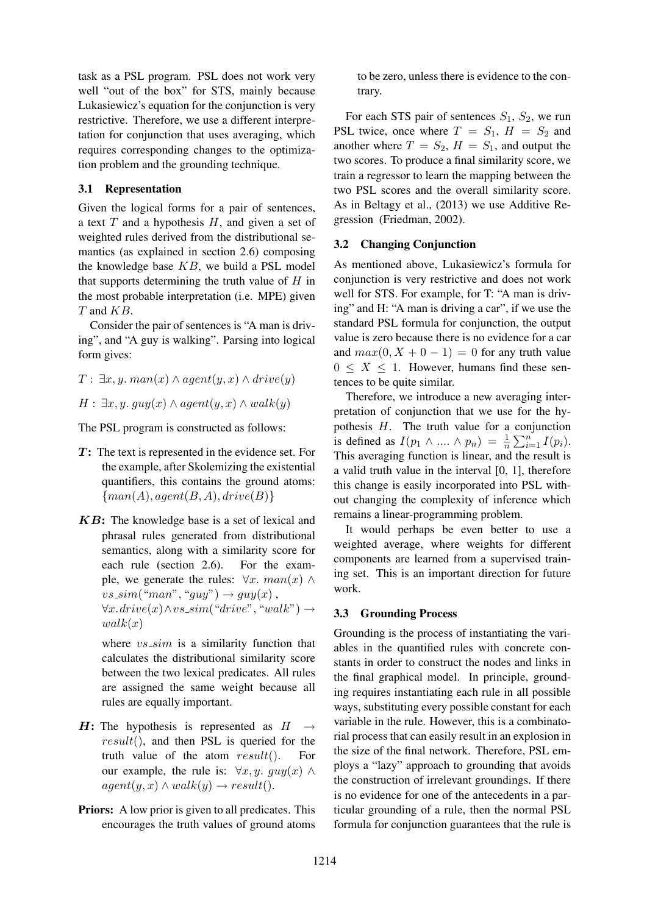task as a PSL program. PSL does not work very well "out of the box" for STS, mainly because Lukasiewicz's equation for the conjunction is very restrictive. Therefore, we use a different interpretation for conjunction that uses averaging, which requires corresponding changes to the optimization problem and the grounding technique.

### 3.1 Representation

Given the logical forms for a pair of sentences, a text  $T$  and a hypothesis  $H$ , and given a set of weighted rules derived from the distributional semantics (as explained in section 2.6) composing the knowledge base  $KB$ , we build a PSL model that supports determining the truth value of  $H$  in the most probable interpretation (i.e. MPE) given T and KB.

Consider the pair of sentences is "A man is driving", and "A guy is walking". Parsing into logical form gives:

 $T: \exists x, y. \, man(x) \land agent(y, x) \land drive(y)$ 

 $H: \exists x, y. guy(x) \land agent(y, x) \land walk(y)$ 

The PSL program is constructed as follows:

- $T$ : The text is represented in the evidence set. For the example, after Skolemizing the existential quantifiers, this contains the ground atoms:  $\{man(A), agent(B, A), drive(B)\}$
- KB: The knowledge base is a set of lexical and phrasal rules generated from distributional semantics, along with a similarity score for each rule (section 2.6). For the example, we generate the rules:  $\forall x. man(x) \land$  $vs\_\textit{sim}("man", "guy") \rightarrow guy(x)$ ,  $\forall x \cdot drive(x) \land vs\_sim("drive", "walk") \rightarrow$  $walk(x)$

where  $vs\_sim$  is a similarity function that calculates the distributional similarity score between the two lexical predicates. All rules are assigned the same weight because all rules are equally important.

- $H:$  The hypothesis is represented as  $H$ result(), and then PSL is queried for the truth value of the atom  $result()$ . For our example, the rule is:  $\forall x, y$ .  $guy(x) \land$  $agent(y, x) \wedge walk(y) \rightarrow result).$
- **Priors:** A low prior is given to all predicates. This encourages the truth values of ground atoms

to be zero, unless there is evidence to the contrary.

For each STS pair of sentences  $S_1$ ,  $S_2$ , we run PSL twice, once where  $T = S_1$ ,  $H = S_2$  and another where  $T = S_2$ ,  $H = S_1$ , and output the two scores. To produce a final similarity score, we train a regressor to learn the mapping between the two PSL scores and the overall similarity score. As in Beltagy et al., (2013) we use Additive Regression (Friedman, 2002).

#### 3.2 Changing Conjunction

As mentioned above, Lukasiewicz's formula for conjunction is very restrictive and does not work well for STS. For example, for T: "A man is driving" and H: "A man is driving a car", if we use the standard PSL formula for conjunction, the output value is zero because there is no evidence for a car and  $max(0, X + 0 - 1) = 0$  for any truth value  $0 \leq X \leq 1$ . However, humans find these sentences to be quite similar.

Therefore, we introduce a new averaging interpretation of conjunction that we use for the hypothesis  $H$ . The truth value for a conjunction is defined as  $I(p_1 \wedge ... \wedge p_n) = \frac{1}{n} \sum_{i=1}^n I(p_i)$ . This averaging function is linear, and the result is a valid truth value in the interval [0, 1], therefore this change is easily incorporated into PSL without changing the complexity of inference which remains a linear-programming problem.

It would perhaps be even better to use a weighted average, where weights for different components are learned from a supervised training set. This is an important direction for future work.

#### 3.3 Grounding Process

Grounding is the process of instantiating the variables in the quantified rules with concrete constants in order to construct the nodes and links in the final graphical model. In principle, grounding requires instantiating each rule in all possible ways, substituting every possible constant for each variable in the rule. However, this is a combinatorial process that can easily result in an explosion in the size of the final network. Therefore, PSL employs a "lazy" approach to grounding that avoids the construction of irrelevant groundings. If there is no evidence for one of the antecedents in a particular grounding of a rule, then the normal PSL formula for conjunction guarantees that the rule is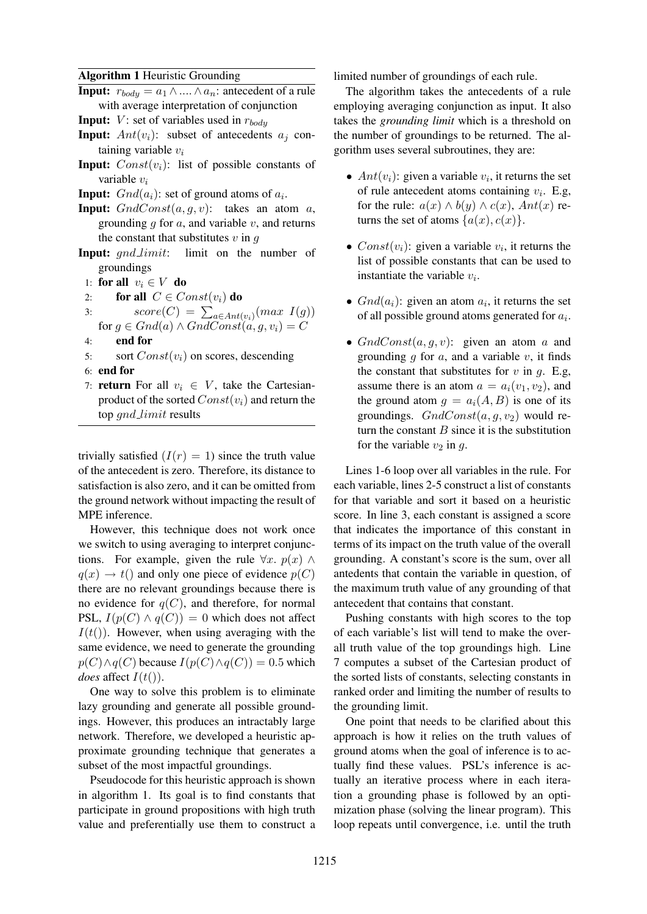#### Algorithm 1 Heuristic Grounding

- **Input:**  $r_{body} = a_1 \wedge ... \wedge a_n$ : antecedent of a rule with average interpretation of conjunction
- **Input:**  $V$ : set of variables used in  $r_{body}$
- **Input:**  $Ant(v_i)$ : subset of antecedents  $a_i$  containing variable  $v_i$
- **Input:**  $Const(v_i)$ : list of possible constants of variable v<sup>i</sup>
- **Input:**  $Gnd(a_i)$ : set of ground atoms of  $a_i$ .
- **Input:**  $GndConst(a, q, v)$ : takes an atom a, grounding  $q$  for  $a$ , and variable  $v$ , and returns the constant that substitutes  $v$  in  $q$
- Input: *qnd\_limit*: limit on the number of groundings
	- 1: for all  $v_i \in V$  do
	- 2: for all  $C \in Const(v_i)$  do
	- 3:  $score(C) = \sum_{a \in Ant(v_i)} (max \ I(g))$ for  $g \in Gnd(a) \wedge GndConst(a, g, v_i) = C$
	- 4: end for
	- 5: sort  $Const(v_i)$  on scores, descending
	- 6: end for
	- 7: **return** For all  $v_i \in V$ , take the Cartesianproduct of the sorted  $Const(v_i)$  and return the top *gnd\_limit* results

trivially satisfied  $(I(r) = 1)$  since the truth value of the antecedent is zero. Therefore, its distance to satisfaction is also zero, and it can be omitted from the ground network without impacting the result of MPE inference.

However, this technique does not work once we switch to using averaging to interpret conjunctions. For example, given the rule  $\forall x. p(x) \land$  $q(x) \rightarrow t()$  and only one piece of evidence  $p(C)$ there are no relevant groundings because there is no evidence for  $q(C)$ , and therefore, for normal PSL,  $I(p(C) \wedge q(C)) = 0$  which does not affect  $I(t())$ . However, when using averaging with the same evidence, we need to generate the grounding  $p(C) \wedge q(C)$  because  $I(p(C) \wedge q(C)) = 0.5$  which *does* affect  $I(t)$ ).

One way to solve this problem is to eliminate lazy grounding and generate all possible groundings. However, this produces an intractably large network. Therefore, we developed a heuristic approximate grounding technique that generates a subset of the most impactful groundings.

Pseudocode for this heuristic approach is shown in algorithm 1. Its goal is to find constants that participate in ground propositions with high truth value and preferentially use them to construct a limited number of groundings of each rule.

The algorithm takes the antecedents of a rule employing averaging conjunction as input. It also takes the *grounding limit* which is a threshold on the number of groundings to be returned. The algorithm uses several subroutines, they are:

- $Ant(v_i)$ : given a variable  $v_i$ , it returns the set of rule antecedent atoms containing  $v_i$ . E.g, for the rule:  $a(x) \wedge b(y) \wedge c(x)$ ,  $Ant(x)$  returns the set of atoms  $\{a(x), c(x)\}.$
- $Const(v_i)$ : given a variable  $v_i$ , it returns the list of possible constants that can be used to instantiate the variable  $v_i$ .
- $Gnd(a_i)$ : given an atom  $a_i$ , it returns the set of all possible ground atoms generated for  $a_i$ .
- $GndConst(a, q, v)$ : given an atom a and grounding  $q$  for  $a$ , and a variable  $v$ , it finds the constant that substitutes for  $v$  in  $g$ . E.g, assume there is an atom  $a = a_i(v_1, v_2)$ , and the ground atom  $q = a_i(A, B)$  is one of its groundings.  $GndConst(a, q, v_2)$  would return the constant  $B$  since it is the substitution for the variable  $v_2$  in q.

Lines 1-6 loop over all variables in the rule. For each variable, lines 2-5 construct a list of constants for that variable and sort it based on a heuristic score. In line 3, each constant is assigned a score that indicates the importance of this constant in terms of its impact on the truth value of the overall grounding. A constant's score is the sum, over all antedents that contain the variable in question, of the maximum truth value of any grounding of that antecedent that contains that constant.

Pushing constants with high scores to the top of each variable's list will tend to make the overall truth value of the top groundings high. Line 7 computes a subset of the Cartesian product of the sorted lists of constants, selecting constants in ranked order and limiting the number of results to the grounding limit.

One point that needs to be clarified about this approach is how it relies on the truth values of ground atoms when the goal of inference is to actually find these values. PSL's inference is actually an iterative process where in each iteration a grounding phase is followed by an optimization phase (solving the linear program). This loop repeats until convergence, i.e. until the truth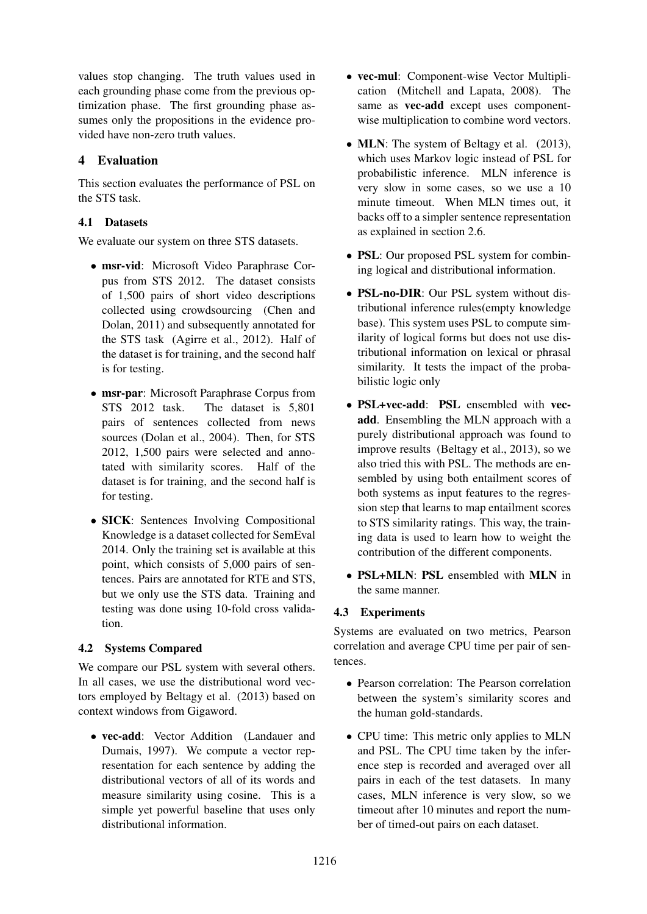values stop changing. The truth values used in each grounding phase come from the previous optimization phase. The first grounding phase assumes only the propositions in the evidence provided have non-zero truth values.

# 4 Evaluation

This section evaluates the performance of PSL on the STS task.

## 4.1 Datasets

We evaluate our system on three STS datasets.

- msr-vid: Microsoft Video Paraphrase Corpus from STS 2012. The dataset consists of 1,500 pairs of short video descriptions collected using crowdsourcing (Chen and Dolan, 2011) and subsequently annotated for the STS task (Agirre et al., 2012). Half of the dataset is for training, and the second half is for testing.
- msr-par: Microsoft Paraphrase Corpus from STS 2012 task. The dataset is 5,801 pairs of sentences collected from news sources (Dolan et al., 2004). Then, for STS 2012, 1,500 pairs were selected and annotated with similarity scores. Half of the dataset is for training, and the second half is for testing.
- SICK: Sentences Involving Compositional Knowledge is a dataset collected for SemEval 2014. Only the training set is available at this point, which consists of 5,000 pairs of sentences. Pairs are annotated for RTE and STS, but we only use the STS data. Training and testing was done using 10-fold cross validation.

## 4.2 Systems Compared

We compare our PSL system with several others. In all cases, we use the distributional word vectors employed by Beltagy et al. (2013) based on context windows from Gigaword.

• vec-add: Vector Addition (Landauer and Dumais, 1997). We compute a vector representation for each sentence by adding the distributional vectors of all of its words and measure similarity using cosine. This is a simple yet powerful baseline that uses only distributional information.

- vec-mul: Component-wise Vector Multiplication (Mitchell and Lapata, 2008). The same as **vec-add** except uses componentwise multiplication to combine word vectors.
- **MLN**: The system of Beltagy et al. (2013), which uses Markov logic instead of PSL for probabilistic inference. MLN inference is very slow in some cases, so we use a 10 minute timeout. When MLN times out, it backs off to a simpler sentence representation as explained in section 2.6.
- PSL: Our proposed PSL system for combining logical and distributional information.
- PSL-no-DIR: Our PSL system without distributional inference rules(empty knowledge base). This system uses PSL to compute similarity of logical forms but does not use distributional information on lexical or phrasal similarity. It tests the impact of the probabilistic logic only
- PSL+vec-add: PSL ensembled with vecadd. Ensembling the MLN approach with a purely distributional approach was found to improve results (Beltagy et al., 2013), so we also tried this with PSL. The methods are ensembled by using both entailment scores of both systems as input features to the regression step that learns to map entailment scores to STS similarity ratings. This way, the training data is used to learn how to weight the contribution of the different components.
- PSL+MLN: PSL ensembled with MLN in the same manner.

## 4.3 Experiments

Systems are evaluated on two metrics, Pearson correlation and average CPU time per pair of sentences.

- Pearson correlation: The Pearson correlation between the system's similarity scores and the human gold-standards.
- CPU time: This metric only applies to MLN and PSL. The CPU time taken by the inference step is recorded and averaged over all pairs in each of the test datasets. In many cases, MLN inference is very slow, so we timeout after 10 minutes and report the number of timed-out pairs on each dataset.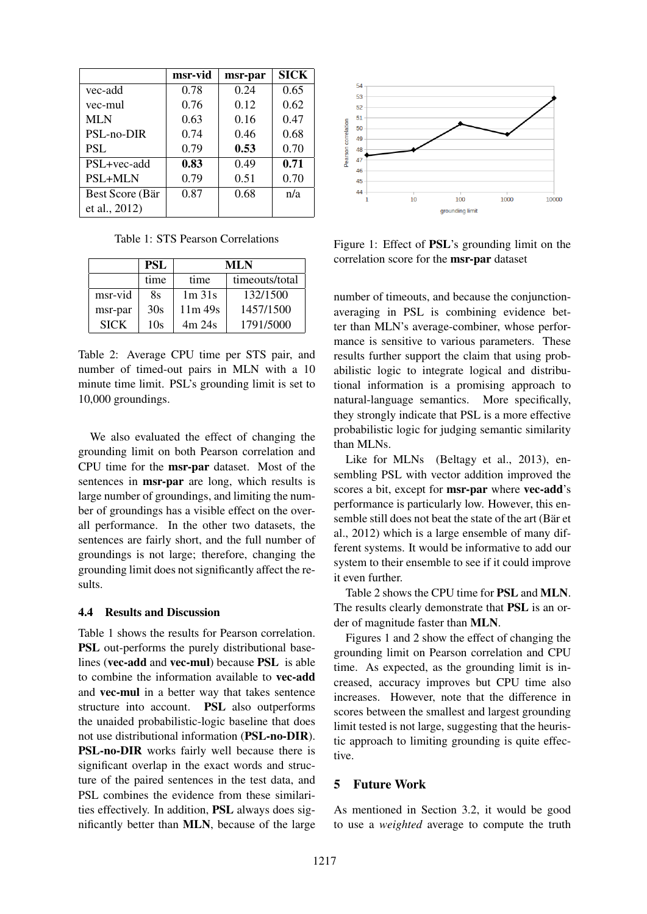|                 | msr-vid | msr-par | <b>SICK</b> |
|-----------------|---------|---------|-------------|
| vec-add         | 0.78    | 0.24    | 0.65        |
| vec-mul         | 0.76    | 0.12    | 0.62        |
| <b>MLN</b>      | 0.63    | 0.16    | 0.47        |
| PSL-no-DIR      | 0.74    | 0.46    | 0.68        |
| <b>PSL</b>      | 0.79    | 0.53    | 0.70        |
| PSL+vec-add     | 0.83    | 0.49    | 0.71        |
| <b>PSL+MLN</b>  | 0.79    | 0.51    | 0.70        |
| Best Score (Bär | 0.87    | 0.68    | n/a         |
| et al., 2012)   |         |         |             |

Table 1: STS Pearson Correlations

|             | <b>PSL</b> | ML N     |                |  |
|-------------|------------|----------|----------------|--|
|             | time       | time     | timeouts/total |  |
| msr-vid     | 8s         | $1m$ 31s | 132/1500       |  |
| msr-par     | 30s        | 11m 49s  | 1457/1500      |  |
| <b>SICK</b> | 10s        | 4m24s    | 1791/5000      |  |

Table 2: Average CPU time per STS pair, and number of timed-out pairs in MLN with a 10 minute time limit. PSL's grounding limit is set to 10,000 groundings.

We also evaluated the effect of changing the grounding limit on both Pearson correlation and CPU time for the msr-par dataset. Most of the sentences in msr-par are long, which results is large number of groundings, and limiting the number of groundings has a visible effect on the overall performance. In the other two datasets, the sentences are fairly short, and the full number of groundings is not large; therefore, changing the grounding limit does not significantly affect the results.

#### 4.4 Results and Discussion

Table 1 shows the results for Pearson correlation. PSL out-performs the purely distributional baselines (vec-add and vec-mul) because PSL is able to combine the information available to vec-add and vec-mul in a better way that takes sentence structure into account. PSL also outperforms the unaided probabilistic-logic baseline that does not use distributional information (PSL-no-DIR). PSL-no-DIR works fairly well because there is significant overlap in the exact words and structure of the paired sentences in the test data, and PSL combines the evidence from these similarities effectively. In addition, PSL always does significantly better than MLN, because of the large



Figure 1: Effect of PSL's grounding limit on the correlation score for the msr-par dataset

number of timeouts, and because the conjunctionaveraging in PSL is combining evidence better than MLN's average-combiner, whose performance is sensitive to various parameters. These results further support the claim that using probabilistic logic to integrate logical and distributional information is a promising approach to natural-language semantics. More specifically, they strongly indicate that PSL is a more effective probabilistic logic for judging semantic similarity than MLNs.

Like for MLNs (Beltagy et al., 2013), ensembling PSL with vector addition improved the scores a bit, except for **msr-par** where **vec-add**'s performance is particularly low. However, this ensemble still does not beat the state of the art (Bär et al., 2012) which is a large ensemble of many different systems. It would be informative to add our system to their ensemble to see if it could improve it even further.

Table 2 shows the CPU time for PSL and MLN. The results clearly demonstrate that PSL is an order of magnitude faster than MLN.

Figures 1 and 2 show the effect of changing the grounding limit on Pearson correlation and CPU time. As expected, as the grounding limit is increased, accuracy improves but CPU time also increases. However, note that the difference in scores between the smallest and largest grounding limit tested is not large, suggesting that the heuristic approach to limiting grounding is quite effective.

#### 5 Future Work

As mentioned in Section 3.2, it would be good to use a *weighted* average to compute the truth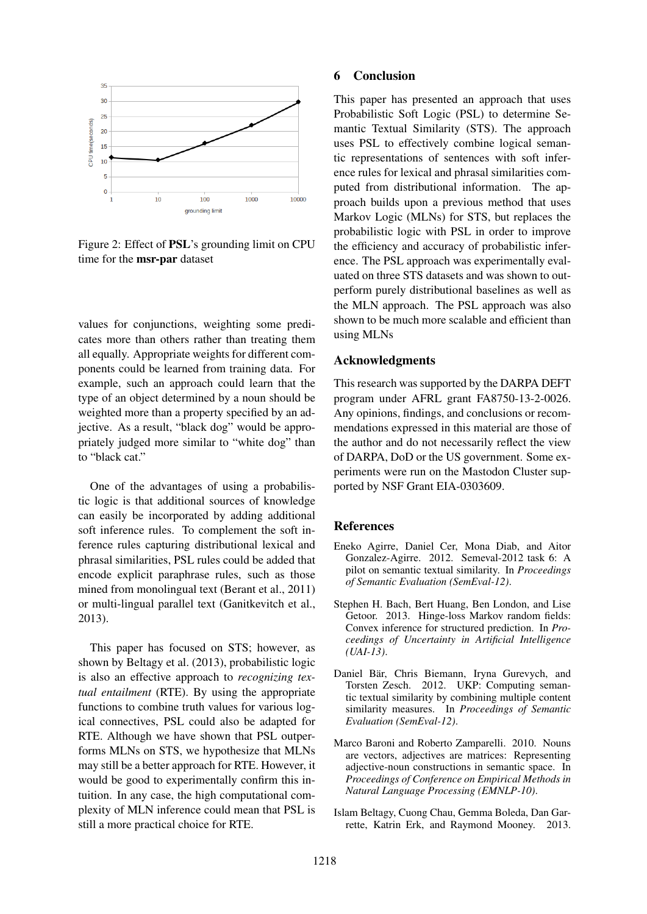

Figure 2: Effect of PSL's grounding limit on CPU time for the msr-par dataset

values for conjunctions, weighting some predicates more than others rather than treating them all equally. Appropriate weights for different components could be learned from training data. For example, such an approach could learn that the type of an object determined by a noun should be weighted more than a property specified by an adjective. As a result, "black dog" would be appropriately judged more similar to "white dog" than to "black cat."

One of the advantages of using a probabilistic logic is that additional sources of knowledge can easily be incorporated by adding additional soft inference rules. To complement the soft inference rules capturing distributional lexical and phrasal similarities, PSL rules could be added that encode explicit paraphrase rules, such as those mined from monolingual text (Berant et al., 2011) or multi-lingual parallel text (Ganitkevitch et al., 2013).

This paper has focused on STS; however, as shown by Beltagy et al. (2013), probabilistic logic is also an effective approach to *recognizing textual entailment* (RTE). By using the appropriate functions to combine truth values for various logical connectives, PSL could also be adapted for RTE. Although we have shown that PSL outperforms MLNs on STS, we hypothesize that MLNs may still be a better approach for RTE. However, it would be good to experimentally confirm this intuition. In any case, the high computational complexity of MLN inference could mean that PSL is still a more practical choice for RTE.

#### 6 Conclusion

This paper has presented an approach that uses Probabilistic Soft Logic (PSL) to determine Semantic Textual Similarity (STS). The approach uses PSL to effectively combine logical semantic representations of sentences with soft inference rules for lexical and phrasal similarities computed from distributional information. The approach builds upon a previous method that uses Markov Logic (MLNs) for STS, but replaces the probabilistic logic with PSL in order to improve the efficiency and accuracy of probabilistic inference. The PSL approach was experimentally evaluated on three STS datasets and was shown to outperform purely distributional baselines as well as the MLN approach. The PSL approach was also shown to be much more scalable and efficient than using MLNs

#### Acknowledgments

This research was supported by the DARPA DEFT program under AFRL grant FA8750-13-2-0026. Any opinions, findings, and conclusions or recommendations expressed in this material are those of the author and do not necessarily reflect the view of DARPA, DoD or the US government. Some experiments were run on the Mastodon Cluster supported by NSF Grant EIA-0303609.

#### References

- Eneko Agirre, Daniel Cer, Mona Diab, and Aitor Gonzalez-Agirre. 2012. Semeval-2012 task 6: A pilot on semantic textual similarity. In *Proceedings of Semantic Evaluation (SemEval-12)*.
- Stephen H. Bach, Bert Huang, Ben London, and Lise Getoor. 2013. Hinge-loss Markov random fields: Convex inference for structured prediction. In *Proceedings of Uncertainty in Artificial Intelligence (UAI-13)*.
- Daniel Bär, Chris Biemann, Iryna Gurevych, and Torsten Zesch. 2012. UKP: Computing semantic textual similarity by combining multiple content similarity measures. In *Proceedings of Semantic Evaluation (SemEval-12)*.
- Marco Baroni and Roberto Zamparelli. 2010. Nouns are vectors, adjectives are matrices: Representing adjective-noun constructions in semantic space. In *Proceedings of Conference on Empirical Methods in Natural Language Processing (EMNLP-10)*.
- Islam Beltagy, Cuong Chau, Gemma Boleda, Dan Garrette, Katrin Erk, and Raymond Mooney. 2013.